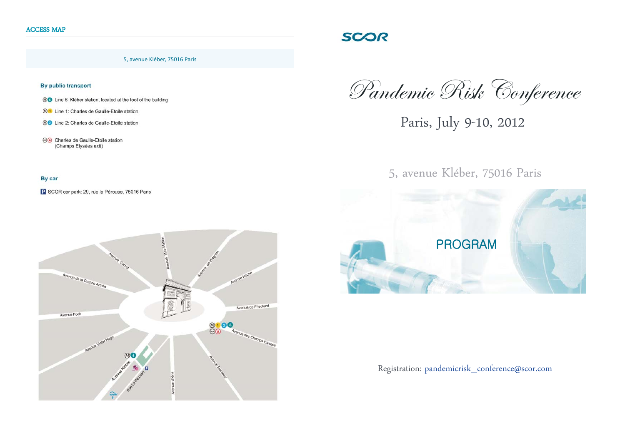5, avenue Kléber, 75016 Paris

## By public transport

- **®®** Line 6: Kléber station, located at the foot of the building
- **M1** Line 1: Charles de Gaulle-Etoile station
- MO Line 2: Charles de Gaulle-Etoile station
- **e** Charles de Gaulle-Etoile station (Champs Elysées exit)

## By car

P SCOR car park: 29, rue la Pérouse, 75016 Paris



Pandemic Risk Conference

**SCOR** 

Paris, July 9-10, 2012

5, avenue Kléber, 75016 Paris



Registration: pandemicrisk\_conference@scor.com